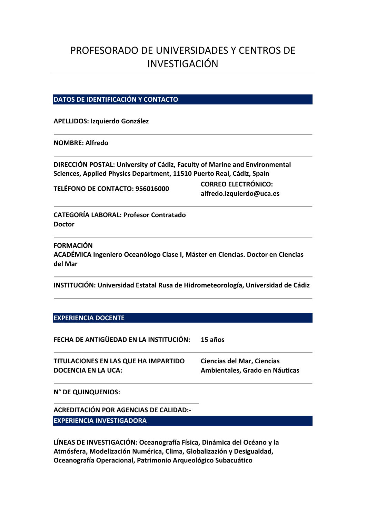# PROFESORADO DE UNIVERSIDADES Y CENTROS DE INVESTIGACIÓN

## **DATOS DE IDENTIFICACIÓN Y CONTACTO**

#### **APELLIDOS: Izquierdo González**

### **NOMBRE: Alfredo**

**DIRECCIÓN POSTAL: University of Cádiz, Faculty of Marine and Environmental Sciences, Applied Physics Department, 11510 Puerto Real, Cádiz, Spain**

**TELÉFONO DE CONTACTO: 956016000 CORREO ELECTRÓNICO: alfredo.izquierdo@uca.es** 

**CATEGORÍA LABORAL: Profesor Contratado Doctor**<br>Doctor

**FORMACIÓN ACADÉMICA Ingeniero Oceanólogo Clase I, Máster en Ciencias. Doctor en Ciencias del Mar**

**INSTITUCIÓN: Universidad Estatal Rusa de Hidrometeorología, Universidad de Cádiz**

#### **EXPERIENCIA DOCENTE**

**FECHA DE ANTIGÜEDAD EN LA INSTITUCIÓN: 15 años**

| TITULACIONES EN LAS QUE HA IMPARTIDO | <b>Ciencias del Mar, Ciencias</b> |
|--------------------------------------|-----------------------------------|
| <b>DOCENCIA EN LA UCA:</b>           | Ambientales, Grado en Náuticas    |

**N° DE QUINQUENIOS:** 

**ACREDITACIÓN POR AGENCIAS DE CALIDAD:‐ EXPERIENCIA INVESTIGADORA**

**LÍNEAS DE INVESTIGACIÓN: Oceanografía Física, Dinámica del Océano y la Atmósfera, Modelización Numérica, Clima, Globalizazión y Desigualdad, Oceanografía Operacional, Patrimonio Arqueológico Subacuático**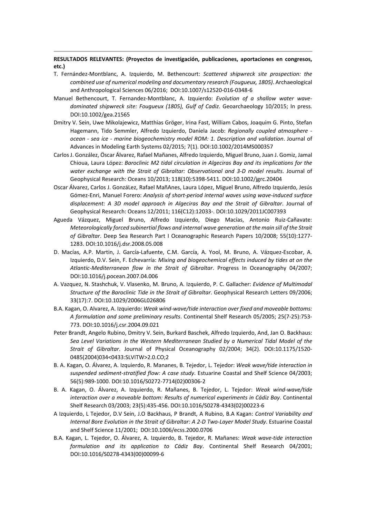**RESULTADOS RELEVANTES: (Proyectos de investigación, publicaciones, aportaciones en congresos, etc.)** 

- T. Fernández‐Montblanc, A. Izquierdo, M. Bethencourt: *Scattered shipwreck site prospection: the combined use of numerical modeling and documentary research (Fougueux, 1805)*. Archaeological and Anthropological Sciences 06/2016; DOI:10.1007/s12520‐016‐0348‐6
- Manuel Bethencourt, T. Fernandez‐Montblanc, A. Izquierdo: *Evolution of a shallow water wave‐ dominated shipwreck site: Fougueux (1805), Gulf of Cadiz*. Geoarchaeology 10/2015; In press. DOI:10.1002/gea.21565
- Dmitry V. Sein, Uwe Mikolajewicz, Matthias Gröger, Irina Fast, William Cabos, Joaquim G. Pinto, Stefan Hagemann, Tido Semmler, Alfredo Izquierdo, Daniela Jacob: *Regionally coupled atmosphere ‐ ocean ‐ sea ice ‐ marine biogeochemistry model ROM: 1. Description and validation*. Journal of Advances in Modeling Earth Systems 02/2015; 7(1). DOI:10.1002/2014MS000357
- Carlos J. González, Öscar Álvarez, Rafael Mañanes, Alfredo Izquierdo, Miguel Bruno, Juan J. Gomiz, Jamal Chioua, Laura López: *Baroclinic M2 tidal circulation in Algeciras Bay and its implications for the water exchange with the Strait of Gibraltar: Observational and 3‐D model results*. Journal of Geophysical Research: Oceans 10/2013; 118(10):5398‐5411. DOI:10.1002/jgrc.20404
- Oscar Álvarez, Carlos J. GonzáLez, Rafael MañAnes, Laura López, Miguel Bruno, Alfredo Izquierdo, Jesús Gómez‐Enri, Manuel Forero: *Analysis of short‐period internal waves using wave‐induced surface displacement: A 3D model approach in Algeciras Bay and the Strait of Gibraltar*. Journal of Geophysical Research: Oceans 12/2011; 116(C12):12033‐. DOI:10.1029/2011JC007393
- Agueda Vázquez, Miguel Bruno, Alfredo Izquierdo, Diego Macías, Antonio Ruiz‐Cañavate: *Meteorologically forced subinertial flows and internal wave generation at the main sill of the Strait of Gibraltar*. Deep Sea Research Part I Oceanographic Research Papers 10/2008; 55(10):1277-1283. DOI:10.1016/j.dsr.2008.05.008
- D. Macías, A.P. Martin, J. García‐Lafuente, C.M. García, A. Yool, M. Bruno, A. Vázquez‐Escobar, A. Izquierdo, D.V. Sein, F. Echevarría: *Mixing and biogeochemical effects induced by tides at on the Atlantic‐Mediterranean flow in the Strait of Gibraltar*. Progress In Oceanography 04/2007; DOI:10.1016/j.pocean.2007.04.006
- A. Vazquez, N. Stashchuk, V. Vlasenko, M. Bruno, A. Izquierdo, P. C. Gallacher: *Evidence of Multimodal Structure of the Baroclinic Tide in the Strait of Gibraltar*. Geophysical Research Letters 09/2006; 33(17):7. DOI:10.1029/2006GL026806
- B.A. Kagan, O. Alvarez, A. Izquierdo: *Weak wind‐wave/tide interaction over fixed and moveable bottoms: A formulation and some preliminary results*. Continental Shelf Research 05/2005; 25(7‐25):753‐ 773. DOI:10.1016/j.csr.2004.09.021
- Peter Brandt, Angelo Rubino, Dmitry V. Sein, Burkard Baschek, Alfredo Izquierdo, And, Jan O. Backhaus: *Sea Level Variations in the Western Mediterranean Studied by a Numerical Tidal Model of the Strait of Gibraltar*. Journal of Physical Oceanography 02/2004; 34(2). DOI:10.1175/1520‐ 0485(2004)034<0433:SLVITW>2.0.CO;2
- B. A. Kagan, O. Álvarez, A. Izquierdo, R. Mananes, B. Tejedor, L. Tejedor: *Weak wave/tide interaction in suspended sediment‐stratified flow: A case study*. Estuarine Coastal and Shelf Science 04/2003; 56(5):989‐1000. DOI:10.1016/S0272‐7714(02)00306‐2
- B. A. Kagan, O. Álvarez, A. Izquierdo, R. Mañanes, B. Tejedor, L. Tejedor: *Weak wind‐wave/tide interaction over a moveable bottom: Results of numerical experiments in Cádiz Bay*. Continental Shelf Research 03/2003; 23(5):435‐456. DOI:10.1016/S0278‐4343(02)00223‐6
- A Izquierdo, L Tejedor, D.V Sein, J.O Backhaus, P Brandt, A Rubino, B.A Kagan: *Control Variability and Internal Bore Evolution in the Strait of Gibraltar: A 2‐D Two‐Layer Model Study*. Estuarine Coastal and Shelf Science 11/2001; DOI:10.1006/ecss.2000.0706
- B.A. Kagan, L. Tejedor, O. Álvarez, A. Izquierdo, B. Tejedor, R. Mañanes: *Weak wave‐tide interaction formulation and its application to Cádiz Bay*. Continental Shelf Research 04/2001; DOI:10.1016/S0278‐4343(00)00099‐6